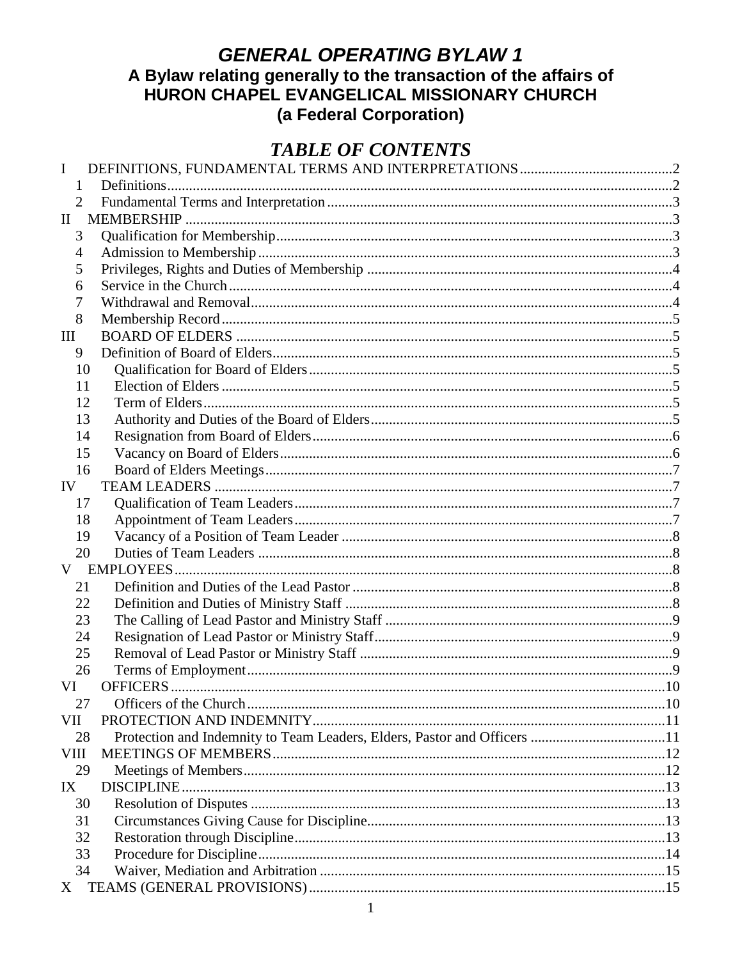# **GENERAL OPERATING BYLAW 1** A Bylaw relating generally to the transaction of the affairs of<br>HURON CHAPEL EVANGELICAL MISSIONARY CHURCH (a Federal Corporation)

## **TABLE OF CONTENTS**

| I              |                                                                          |  |
|----------------|--------------------------------------------------------------------------|--|
| 1              |                                                                          |  |
| $\overline{2}$ |                                                                          |  |
| $\mathbf{H}$   |                                                                          |  |
| 3              |                                                                          |  |
| 4              |                                                                          |  |
| 5              |                                                                          |  |
| 6              |                                                                          |  |
| 7              |                                                                          |  |
| 8              |                                                                          |  |
| Ш              |                                                                          |  |
| 9              |                                                                          |  |
| 10             |                                                                          |  |
| 11             |                                                                          |  |
| 12             |                                                                          |  |
| 13             |                                                                          |  |
| 14             |                                                                          |  |
| 15             |                                                                          |  |
| 16             |                                                                          |  |
| IV             |                                                                          |  |
| 17             |                                                                          |  |
| 18             |                                                                          |  |
| 19             |                                                                          |  |
| 20             |                                                                          |  |
| V              |                                                                          |  |
| 21             |                                                                          |  |
| 22             |                                                                          |  |
| 23             |                                                                          |  |
| 24             |                                                                          |  |
| 25             |                                                                          |  |
| 26             |                                                                          |  |
| VI             |                                                                          |  |
| 27             |                                                                          |  |
| VII            |                                                                          |  |
| 28             | Protection and Indemnity to Team Leaders, Elders, Pastor and Officers 11 |  |
| <b>VIII</b>    |                                                                          |  |
| 29             |                                                                          |  |
| IX             |                                                                          |  |
| 30             |                                                                          |  |
| 31             |                                                                          |  |
| 32             |                                                                          |  |
| 33             |                                                                          |  |
| 34             |                                                                          |  |
| X              |                                                                          |  |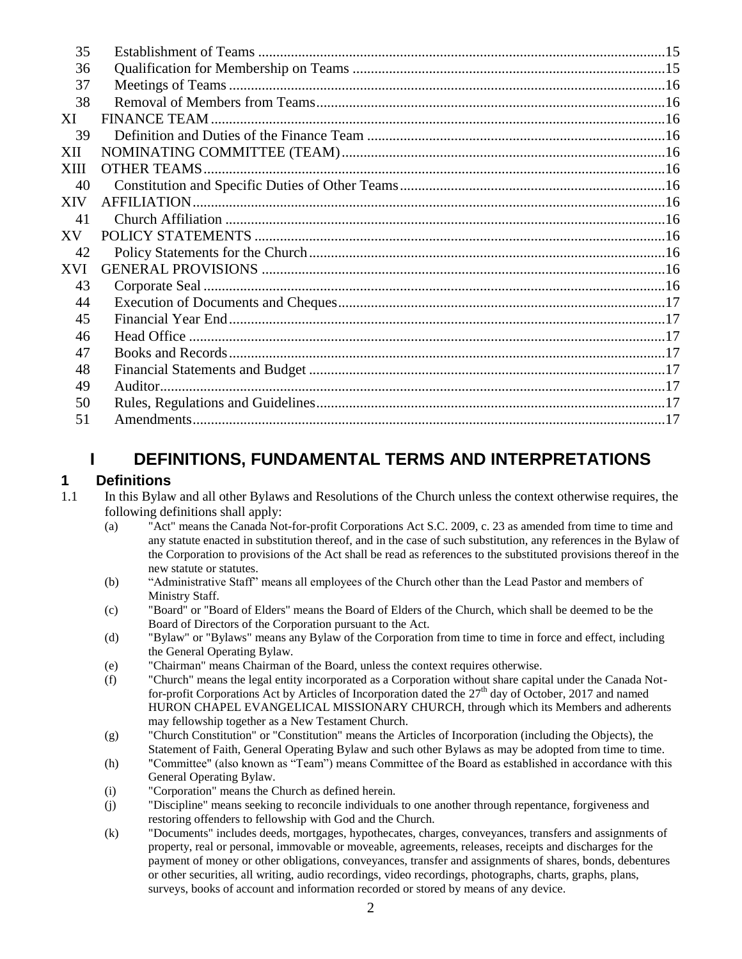| 35         |         |  |
|------------|---------|--|
| 36         |         |  |
| 37         |         |  |
| 38         |         |  |
| XI         |         |  |
| 39         |         |  |
| XII        |         |  |
| XIII       |         |  |
| 40         |         |  |
| XIV        |         |  |
| 41         |         |  |
| XV         |         |  |
| 42         |         |  |
| <b>XVI</b> |         |  |
| 43         |         |  |
| 44         |         |  |
| 45         |         |  |
| 46         |         |  |
| 47         |         |  |
| 48         |         |  |
| 49         | Auditor |  |
| 50         |         |  |
| 51         |         |  |

## **I DEFINITIONS, FUNDAMENTAL TERMS AND INTERPRETATIONS**

#### <span id="page-1-1"></span><span id="page-1-0"></span>**1 Definitions**

- 1.1 In this Bylaw and all other Bylaws and Resolutions of the Church unless the context otherwise requires, the following definitions shall apply:
	- (a) "Act" means the Canada Not-for-profit Corporations Act S.C. 2009, c. 23 as amended from time to time and any statute enacted in substitution thereof, and in the case of such substitution, any references in the Bylaw of the Corporation to provisions of the Act shall be read as references to the substituted provisions thereof in the new statute or statutes.
	- (b) "Administrative Staff" means all employees of the Church other than the Lead Pastor and members of Ministry Staff.
	- (c) "Board" or "Board of Elders" means the Board of Elders of the Church, which shall be deemed to be the Board of Directors of the Corporation pursuant to the Act.
	- (d) "Bylaw" or "Bylaws" means any Bylaw of the Corporation from time to time in force and effect, including the General Operating Bylaw.
	- (e) "Chairman" means Chairman of the Board, unless the context requires otherwise.
	- (f) "Church" means the legal entity incorporated as a Corporation without share capital under the Canada Notfor-profit Corporations Act by Articles of Incorporation dated the  $27<sup>th</sup>$  day of October, 2017 and named HURON CHAPEL EVANGELICAL MISSIONARY CHURCH, through which its Members and adherents may fellowship together as a New Testament Church.
	- (g) "Church Constitution" or "Constitution" means the Articles of Incorporation (including the Objects), the Statement of Faith, General Operating Bylaw and such other Bylaws as may be adopted from time to time.
	- (h) "Committee" (also known as "Team") means Committee of the Board as established in accordance with this General Operating Bylaw.
	- (i) "Corporation" means the Church as defined herein.
	- (j) "Discipline" means seeking to reconcile individuals to one another through repentance, forgiveness and restoring offenders to fellowship with God and the Church.
	- (k) "Documents" includes deeds, mortgages, hypothecates, charges, conveyances, transfers and assignments of property, real or personal, immovable or moveable, agreements, releases, receipts and discharges for the payment of money or other obligations, conveyances, transfer and assignments of shares, bonds, debentures or other securities, all writing, audio recordings, video recordings, photographs, charts, graphs, plans, surveys, books of account and information recorded or stored by means of any device.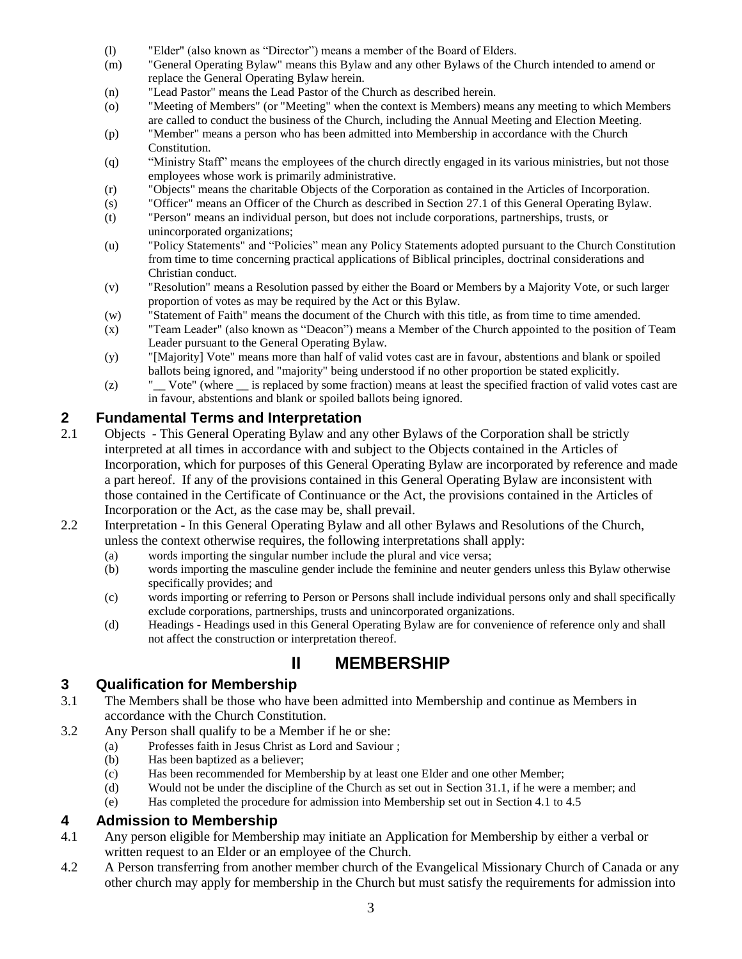- (l) "Elder" (also known as "Director") means a member of the Board of Elders.
- (m) "General Operating Bylaw" means this Bylaw and any other Bylaws of the Church intended to amend or replace the General Operating Bylaw herein.
- (n) "Lead Pastor" means the Lead Pastor of the Church as described herein.
- (o) "Meeting of Members" (or "Meeting" when the context is Members) means any meeting to which Members are called to conduct the business of the Church, including the Annual Meeting and Election Meeting.
- (p) "Member" means a person who has been admitted into Membership in accordance with the Church Constitution.
- (q) "Ministry Staff" means the employees of the church directly engaged in its various ministries, but not those employees whose work is primarily administrative.
- (r) "Objects" means the charitable Objects of the Corporation as contained in the Articles of Incorporation.
- (s) "Officer" means an Officer of the Church as described in Section [27.1](#page-9-2) of this General Operating Bylaw.
- (t) "Person" means an individual person, but does not include corporations, partnerships, trusts, or unincorporated organizations;
- (u) "Policy Statements" and "Policies" mean any Policy Statements adopted pursuant to the Church Constitution from time to time concerning practical applications of Biblical principles, doctrinal considerations and Christian conduct.
- (v) "Resolution" means a Resolution passed by either the Board or Members by a Majority Vote, or such larger proportion of votes as may be required by the Act or this Bylaw.
- (w) "Statement of Faith" means the document of the Church with this title, as from time to time amended.
- (x) "Team Leader" (also known as "Deacon") means a Member of the Church appointed to the position of Team Leader pursuant to the General Operating Bylaw.
- (y) "[Majority] Vote" means more than half of valid votes cast are in favour, abstentions and blank or spoiled ballots being ignored, and "majority" being understood if no other proportion be stated explicitly.
- (z) "\_\_ Vote" (where \_\_ is replaced by some fraction) means at least the specified fraction of valid votes cast are in favour, abstentions and blank or spoiled ballots being ignored.

# <span id="page-2-0"></span>**2 <b>Fundamental Terms and Interpretation**<br>2.1 **Objects - This General Operating Bylaw and any**

- 2.1 Objects This General Operating Bylaw and any other Bylaws of the Corporation shall be strictly interpreted at all times in accordance with and subject to the Objects contained in the Articles of Incorporation, which for purposes of this General Operating Bylaw are incorporated by reference and made a part hereof. If any of the provisions contained in this General Operating Bylaw are inconsistent with those contained in the Certificate of Continuance or the Act, the provisions contained in the Articles of Incorporation or the Act, as the case may be, shall prevail.
- 2.2 Interpretation In this General Operating Bylaw and all other Bylaws and Resolutions of the Church, unless the context otherwise requires, the following interpretations shall apply:
	- (a) words importing the singular number include the plural and vice versa;
	- (b) words importing the masculine gender include the feminine and neuter genders unless this Bylaw otherwise specifically provides; and
	- (c) words importing or referring to Person or Persons shall include individual persons only and shall specifically exclude corporations, partnerships, trusts and unincorporated organizations.
	- (d) Headings Headings used in this General Operating Bylaw are for convenience of reference only and shall not affect the construction or interpretation thereof.



#### <span id="page-2-2"></span><span id="page-2-1"></span>**3 Qualification for Membership**

- 3.1 The Members shall be those who have been admitted into Membership and continue as Members in accordance with the Church Constitution.
- <span id="page-2-5"></span>3.2 Any Person shall qualify to be a Member if he or she:
	- (a) Professes faith in Jesus Christ as Lord and Saviour ;
	- (b) Has been baptized as a believer;
	- (c) Has been recommended for Membership by at least one Elder and one other Member;
	- (d) Would not be under the discipline of the Church as set out in Sectio[n 31.1,](#page-12-4) if he were a member; and
	- (e) Has completed the procedure for admission into Membership set out in Section [4.1](#page-2-4) to [4.5](#page-3-3)

#### <span id="page-2-3"></span>**4 Admission to Membership**

- <span id="page-2-4"></span>4.1 Any person eligible for Membership may initiate an Application for Membership by either a verbal or written request to an Elder or an employee of the Church.
- 4.2 A Person transferring from another member church of the Evangelical Missionary Church of Canada or any other church may apply for membership in the Church but must satisfy the requirements for admission into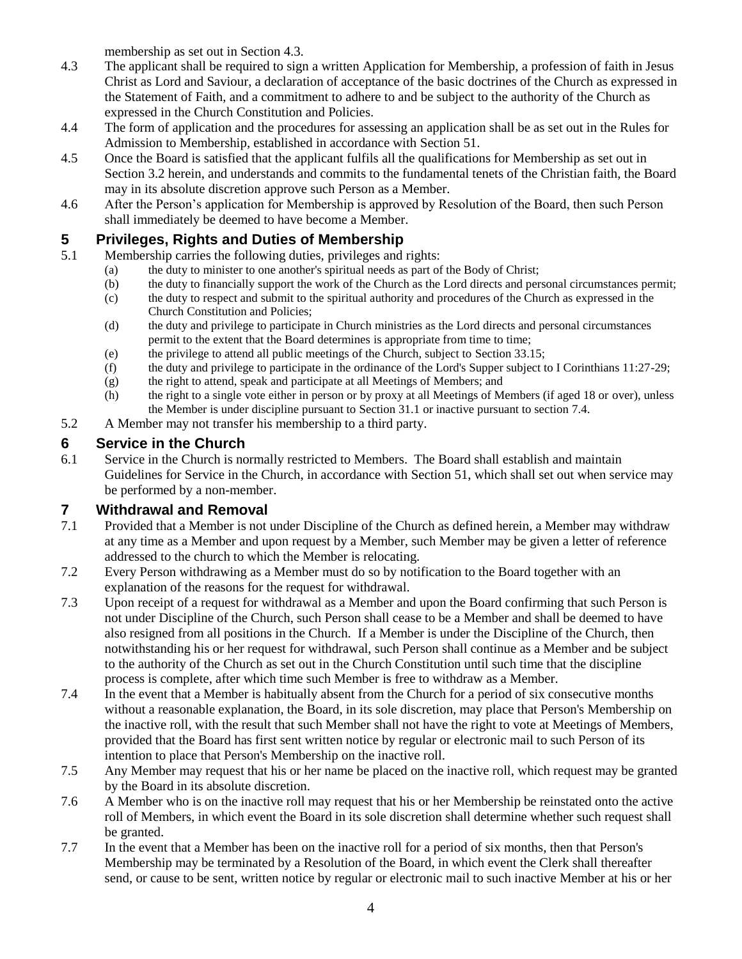membership as set out in Section 4.3.

- 4.3 The applicant shall be required to sign a written Application for Membership, a profession of faith in Jesus Christ as Lord and Saviour, a declaration of acceptance of the basic doctrines of the Church as expressed in the Statement of Faith, and a commitment to adhere to and be subject to the authority of the Church as expressed in the Church Constitution and Policies.
- 4.4 The form of application and the procedures for assessing an application shall be as set out in the Rules for Admission to Membership, established in accordance with Section 51.
- <span id="page-3-3"></span>4.5 Once the Board is satisfied that the applicant fulfils all the qualifications for Membership as set out in Section [3.2](#page-2-5) herein, and understands and commits to the fundamental tenets of the Christian faith, the Board may in its absolute discretion approve such Person as a Member.
- 4.6 After the Person's application for Membership is approved by Resolution of the Board, then such Person shall immediately be deemed to have become a Member.

#### <span id="page-3-0"></span>**5 Privileges, Rights and Duties of Membership**

- 5.1 Membership carries the following duties, privileges and rights:
	- (a) the duty to minister to one another's spiritual needs as part of the Body of Christ;
	- (b) the duty to financially support the work of the Church as the Lord directs and personal circumstances permit;
	- (c) the duty to respect and submit to the spiritual authority and procedures of the Church as expressed in the Church Constitution and Policies;
	- (d) the duty and privilege to participate in Church ministries as the Lord directs and personal circumstances permit to the extent that the Board determines is appropriate from time to time;
	- (e) the privilege to attend all public meetings of the Church, subject to Sectio[n 33.15;](#page-14-4)
	- (f) the duty and privilege to participate in the ordinance of the Lord's Supper subject to I Corinthians 11:27-29;
	- (g) the right to attend, speak and participate at all Meetings of Members; and
	- (h) the right to a single vote either in person or by proxy at all Meetings of Members (if aged 18 or over), unless the Member is under discipline pursuant to Section [31.1](#page-12-4) or inactive pursuant to section [7.4.](#page-3-4)
- 5.2 A Member may not transfer his membership to a third party.

#### <span id="page-3-1"></span>**6 Service in the Church**

6.1 Service in the Church is normally restricted to Members. The Board shall establish and maintain Guidelines for Service in the Church, in accordance with Section 51, which shall set out when service may be performed by a non-member.

#### <span id="page-3-2"></span>**7 Withdrawal and Removal**

- 7.1 Provided that a Member is not under Discipline of the Church as defined herein, a Member may withdraw at any time as a Member and upon request by a Member, such Member may be given a letter of reference addressed to the church to which the Member is relocating.
- 7.2 Every Person withdrawing as a Member must do so by notification to the Board together with an explanation of the reasons for the request for withdrawal.
- 7.3 Upon receipt of a request for withdrawal as a Member and upon the Board confirming that such Person is not under Discipline of the Church, such Person shall cease to be a Member and shall be deemed to have also resigned from all positions in the Church. If a Member is under the Discipline of the Church, then notwithstanding his or her request for withdrawal, such Person shall continue as a Member and be subject to the authority of the Church as set out in the Church Constitution until such time that the discipline process is complete, after which time such Member is free to withdraw as a Member.
- <span id="page-3-4"></span>7.4 In the event that a Member is habitually absent from the Church for a period of six consecutive months without a reasonable explanation, the Board, in its sole discretion, may place that Person's Membership on the inactive roll, with the result that such Member shall not have the right to vote at Meetings of Members, provided that the Board has first sent written notice by regular or electronic mail to such Person of its intention to place that Person's Membership on the inactive roll.
- 7.5 Any Member may request that his or her name be placed on the inactive roll, which request may be granted by the Board in its absolute discretion.
- 7.6 A Member who is on the inactive roll may request that his or her Membership be reinstated onto the active roll of Members, in which event the Board in its sole discretion shall determine whether such request shall be granted.
- 7.7 In the event that a Member has been on the inactive roll for a period of six months, then that Person's Membership may be terminated by a Resolution of the Board, in which event the Clerk shall thereafter send, or cause to be sent, written notice by regular or electronic mail to such inactive Member at his or her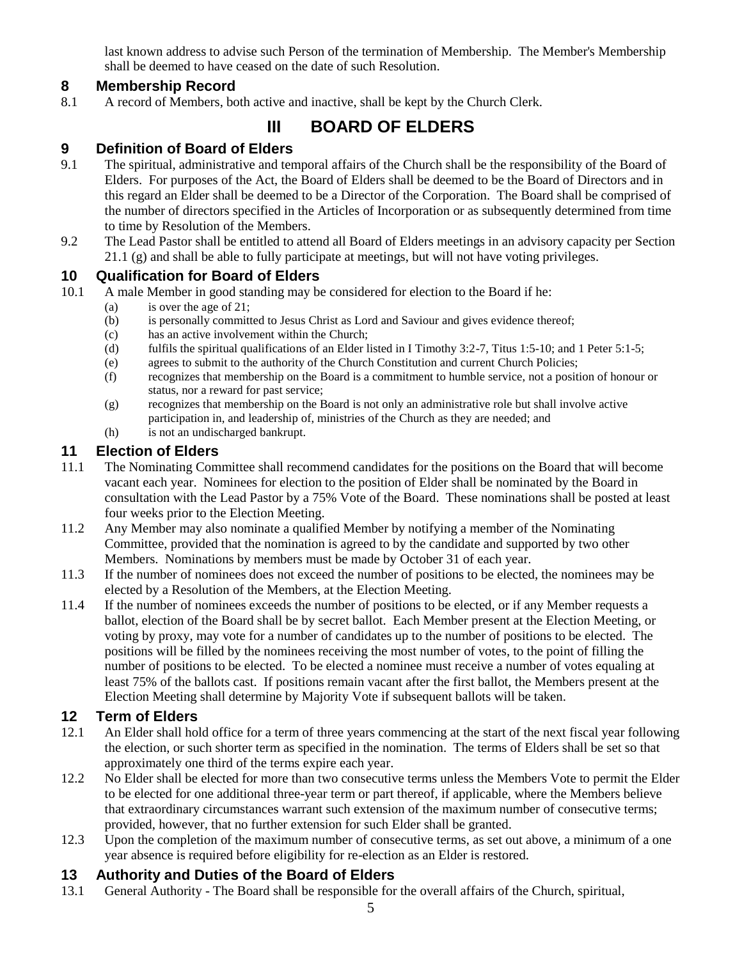last known address to advise such Person of the termination of Membership. The Member's Membership shall be deemed to have ceased on the date of such Resolution.

#### <span id="page-4-0"></span>**8 Membership Record**

<span id="page-4-1"></span>8.1 A record of Members, both active and inactive, shall be kept by the Church Clerk.

## **III BOARD OF ELDERS**

#### <span id="page-4-2"></span>**9 Definition of Board of Elders**

- 9.1 The spiritual, administrative and temporal affairs of the Church shall be the responsibility of the Board of Elders. For purposes of the Act, the Board of Elders shall be deemed to be the Board of Directors and in this regard an Elder shall be deemed to be a Director of the Corporation. The Board shall be comprised of the number of directors specified in the Articles of Incorporation or as subsequently determined from time to time by Resolution of the Members.
- 9.2 The Lead Pastor shall be entitled to attend all Board of Elders meetings in an advisory capacity per Section 21.1 (g) and shall be able to fully participate at meetings, but will not have voting privileges.

#### <span id="page-4-3"></span>**10 Qualification for Board of Elders**

- <span id="page-4-7"></span>10.1 A male Member in good standing may be considered for election to the Board if he:
	- (a) is over the age of 21;
		- (b) is personally committed to Jesus Christ as Lord and Saviour and gives evidence thereof;
		- (c) has an active involvement within the Church;
		- (d) fulfils the spiritual qualifications of an Elder listed in I Timothy 3:2-7, Titus 1:5-10; and 1 Peter 5:1-5;
		- (e) agrees to submit to the authority of the Church Constitution and current Church Policies;
		- (f) recognizes that membership on the Board is a commitment to humble service, not a position of honour or status, nor a reward for past service;
		- (g) recognizes that membership on the Board is not only an administrative role but shall involve active participation in, and leadership of, ministries of the Church as they are needed; and
		- (h) is not an undischarged bankrupt.

#### <span id="page-4-4"></span>**11 Election of Elders**

- 11.1 The Nominating Committee shall recommend candidates for the positions on the Board that will become vacant each year. Nominees for election to the position of Elder shall be nominated by the Board in consultation with the Lead Pastor by a 75% Vote of the Board. These nominations shall be posted at least four weeks prior to the Election Meeting.
- 11.2 Any Member may also nominate a qualified Member by notifying a member of the Nominating Committee, provided that the nomination is agreed to by the candidate and supported by two other Members. Nominations by members must be made by October 31 of each year.
- 11.3 If the number of nominees does not exceed the number of positions to be elected, the nominees may be elected by a Resolution of the Members, at the Election Meeting.
- 11.4 If the number of nominees exceeds the number of positions to be elected, or if any Member requests a ballot, election of the Board shall be by secret ballot. Each Member present at the Election Meeting, or voting by proxy, may vote for a number of candidates up to the number of positions to be elected. The positions will be filled by the nominees receiving the most number of votes, to the point of filling the number of positions to be elected. To be elected a nominee must receive a number of votes equaling at least 75% of the ballots cast. If positions remain vacant after the first ballot, the Members present at the Election Meeting shall determine by Majority Vote if subsequent ballots will be taken.

#### <span id="page-4-5"></span>**12 Term of Elders**

- 12.1 An Elder shall hold office for a term of three years commencing at the start of the next fiscal year following the election, or such shorter term as specified in the nomination. The terms of Elders shall be set so that approximately one third of the terms expire each year.
- 12.2 No Elder shall be elected for more than two consecutive terms unless the Members Vote to permit the Elder to be elected for one additional three-year term or part thereof, if applicable, where the Members believe that extraordinary circumstances warrant such extension of the maximum number of consecutive terms; provided, however, that no further extension for such Elder shall be granted.
- 12.3 Upon the completion of the maximum number of consecutive terms, as set out above, a minimum of a one year absence is required before eligibility for re-election as an Elder is restored.

#### <span id="page-4-6"></span>**13 Authority and Duties of the Board of Elders**

13.1 General Authority - The Board shall be responsible for the overall affairs of the Church, spiritual,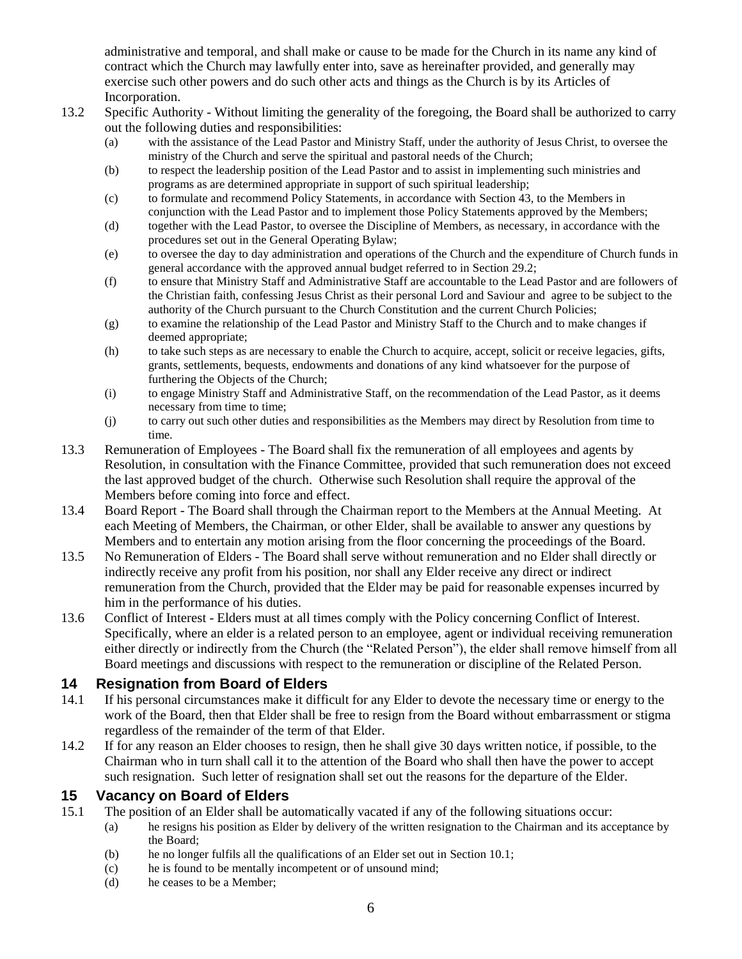administrative and temporal, and shall make or cause to be made for the Church in its name any kind of contract which the Church may lawfully enter into, save as hereinafter provided, and generally may exercise such other powers and do such other acts and things as the Church is by its Articles of Incorporation.

- 13.2 Specific Authority Without limiting the generality of the foregoing, the Board shall be authorized to carry out the following duties and responsibilities:
	- (a) with the assistance of the Lead Pastor and Ministry Staff, under the authority of Jesus Christ, to oversee the ministry of the Church and serve the spiritual and pastoral needs of the Church;
	- (b) to respect the leadership position of the Lead Pastor and to assist in implementing such ministries and programs as are determined appropriate in support of such spiritual leadership;
	- (c) to formulate and recommend Policy Statements, in accordance with Section 43, to the Members in conjunction with the Lead Pastor and to implement those Policy Statements approved by the Members;
	- (d) together with the Lead Pastor, to oversee the Discipline of Members, as necessary, in accordance with the procedures set out in the General Operating Bylaw;
	- (e) to oversee the day to day administration and operations of the Church and the expenditure of Church funds in general accordance with the approved annual budget referred to in Section 29.2;
	- (f) to ensure that Ministry Staff and Administrative Staff are accountable to the Lead Pastor and are followers of the Christian faith, confessing Jesus Christ as their personal Lord and Saviour and agree to be subject to the authority of the Church pursuant to the Church Constitution and the current Church Policies;
	- (g) to examine the relationship of the Lead Pastor and Ministry Staff to the Church and to make changes if deemed appropriate;
	- (h) to take such steps as are necessary to enable the Church to acquire, accept, solicit or receive legacies, gifts, grants, settlements, bequests, endowments and donations of any kind whatsoever for the purpose of furthering the Objects of the Church;
	- (i) to engage Ministry Staff and Administrative Staff, on the recommendation of the Lead Pastor, as it deems necessary from time to time;
	- (j) to carry out such other duties and responsibilities as the Members may direct by Resolution from time to time.
- 13.3 Remuneration of Employees The Board shall fix the remuneration of all employees and agents by Resolution, in consultation with the Finance Committee, provided that such remuneration does not exceed the last approved budget of the church. Otherwise such Resolution shall require the approval of the Members before coming into force and effect.
- 13.4 Board Report The Board shall through the Chairman report to the Members at the Annual Meeting. At each Meeting of Members, the Chairman, or other Elder, shall be available to answer any questions by Members and to entertain any motion arising from the floor concerning the proceedings of the Board.
- 13.5 No Remuneration of Elders The Board shall serve without remuneration and no Elder shall directly or indirectly receive any profit from his position, nor shall any Elder receive any direct or indirect remuneration from the Church, provided that the Elder may be paid for reasonable expenses incurred by him in the performance of his duties.
- 13.6 Conflict of Interest Elders must at all times comply with the Policy concerning Conflict of Interest. Specifically, where an elder is a related person to an employee, agent or individual receiving remuneration either directly or indirectly from the Church (the "Related Person"), the elder shall remove himself from all Board meetings and discussions with respect to the remuneration or discipline of the Related Person.

#### <span id="page-5-0"></span>**14 Resignation from Board of Elders**

- 14.1 If his personal circumstances make it difficult for any Elder to devote the necessary time or energy to the work of the Board, then that Elder shall be free to resign from the Board without embarrassment or stigma regardless of the remainder of the term of that Elder.
- 14.2 If for any reason an Elder chooses to resign, then he shall give 30 days written notice, if possible, to the Chairman who in turn shall call it to the attention of the Board who shall then have the power to accept such resignation. Such letter of resignation shall set out the reasons for the departure of the Elder.

#### <span id="page-5-1"></span>**15 Vacancy on Board of Elders**

- 15.1 The position of an Elder shall be automatically vacated if any of the following situations occur:
	- (a) he resigns his position as Elder by delivery of the written resignation to the Chairman and its acceptance by the Board;
	- (b) he no longer fulfils all the qualifications of an Elder set out in Section [10.1;](#page-4-7)
	- (c) he is found to be mentally incompetent or of unsound mind;
	- (d) he ceases to be a Member;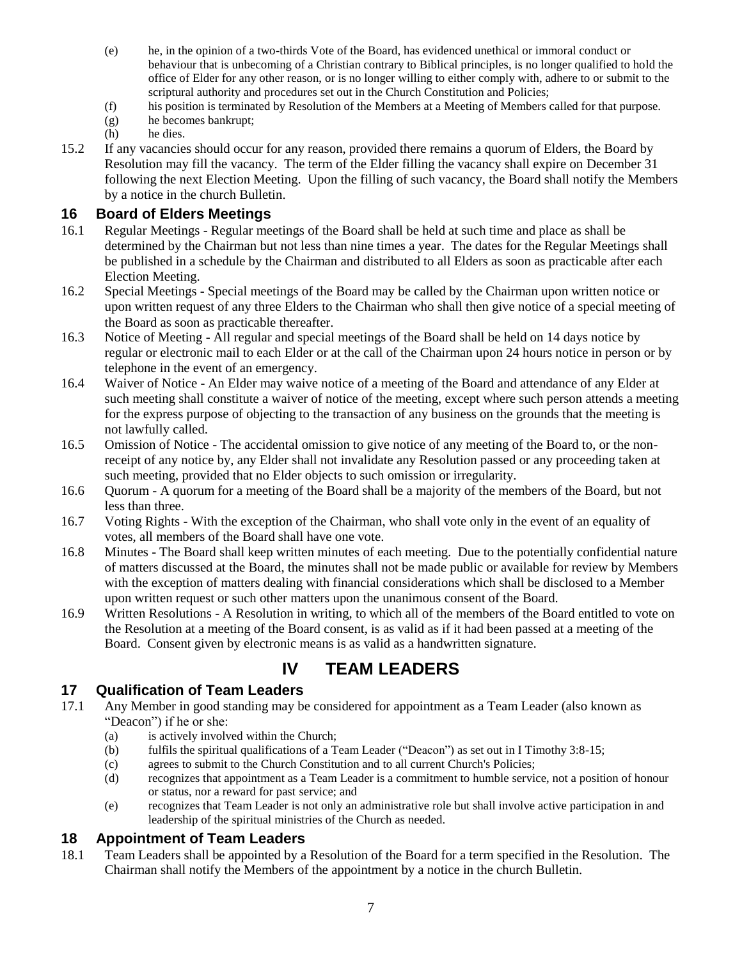- (e) he, in the opinion of a two-thirds Vote of the Board, has evidenced unethical or immoral conduct or behaviour that is unbecoming of a Christian contrary to Biblical principles, is no longer qualified to hold the office of Elder for any other reason, or is no longer willing to either comply with, adhere to or submit to the scriptural authority and procedures set out in the Church Constitution and Policies;
- (f) his position is terminated by Resolution of the Members at a Meeting of Members called for that purpose.
- (g) he becomes bankrupt;
- (h) he dies.
- 15.2 If any vacancies should occur for any reason, provided there remains a quorum of Elders, the Board by Resolution may fill the vacancy. The term of the Elder filling the vacancy shall expire on December 31 following the next Election Meeting. Upon the filling of such vacancy, the Board shall notify the Members by a notice in the church Bulletin.

#### <span id="page-6-0"></span>**16 Board of Elders Meetings**

- 16.1 Regular Meetings Regular meetings of the Board shall be held at such time and place as shall be determined by the Chairman but not less than nine times a year. The dates for the Regular Meetings shall be published in a schedule by the Chairman and distributed to all Elders as soon as practicable after each Election Meeting.
- 16.2 Special Meetings Special meetings of the Board may be called by the Chairman upon written notice or upon written request of any three Elders to the Chairman who shall then give notice of a special meeting of the Board as soon as practicable thereafter.
- 16.3 Notice of Meeting All regular and special meetings of the Board shall be held on 14 days notice by regular or electronic mail to each Elder or at the call of the Chairman upon 24 hours notice in person or by telephone in the event of an emergency.
- 16.4 Waiver of Notice An Elder may waive notice of a meeting of the Board and attendance of any Elder at such meeting shall constitute a waiver of notice of the meeting, except where such person attends a meeting for the express purpose of objecting to the transaction of any business on the grounds that the meeting is not lawfully called.
- 16.5 Omission of Notice The accidental omission to give notice of any meeting of the Board to, or the nonreceipt of any notice by, any Elder shall not invalidate any Resolution passed or any proceeding taken at such meeting, provided that no Elder objects to such omission or irregularity.
- 16.6 Quorum A quorum for a meeting of the Board shall be a majority of the members of the Board, but not less than three.
- 16.7 Voting Rights With the exception of the Chairman, who shall vote only in the event of an equality of votes, all members of the Board shall have one vote.
- 16.8 Minutes The Board shall keep written minutes of each meeting. Due to the potentially confidential nature of matters discussed at the Board, the minutes shall not be made public or available for review by Members with the exception of matters dealing with financial considerations which shall be disclosed to a Member upon written request or such other matters upon the unanimous consent of the Board.
- 16.9 Written Resolutions A Resolution in writing, to which all of the members of the Board entitled to vote on the Resolution at a meeting of the Board consent, is as valid as if it had been passed at a meeting of the Board. Consent given by electronic means is as valid as a handwritten signature.

## **IV TEAM LEADERS**

#### <span id="page-6-2"></span><span id="page-6-1"></span>**17 Qualification of Team Leaders**

- <span id="page-6-4"></span>17.1 Any Member in good standing may be considered for appointment as a Team Leader (also known as "Deacon") if he or she:
	- (a) is actively involved within the Church;
	- (b) fulfils the spiritual qualifications of a Team Leader ("Deacon") as set out in I Timothy 3:8-15;
	- (c) agrees to submit to the Church Constitution and to all current Church's Policies;
	- (d) recognizes that appointment as a Team Leader is a commitment to humble service, not a position of honour or status, nor a reward for past service; and
	- (e) recognizes that Team Leader is not only an administrative role but shall involve active participation in and leadership of the spiritual ministries of the Church as needed.

#### <span id="page-6-3"></span>**18 Appointment of Team Leaders**

18.1 Team Leaders shall be appointed by a Resolution of the Board for a term specified in the Resolution. The Chairman shall notify the Members of the appointment by a notice in the church Bulletin.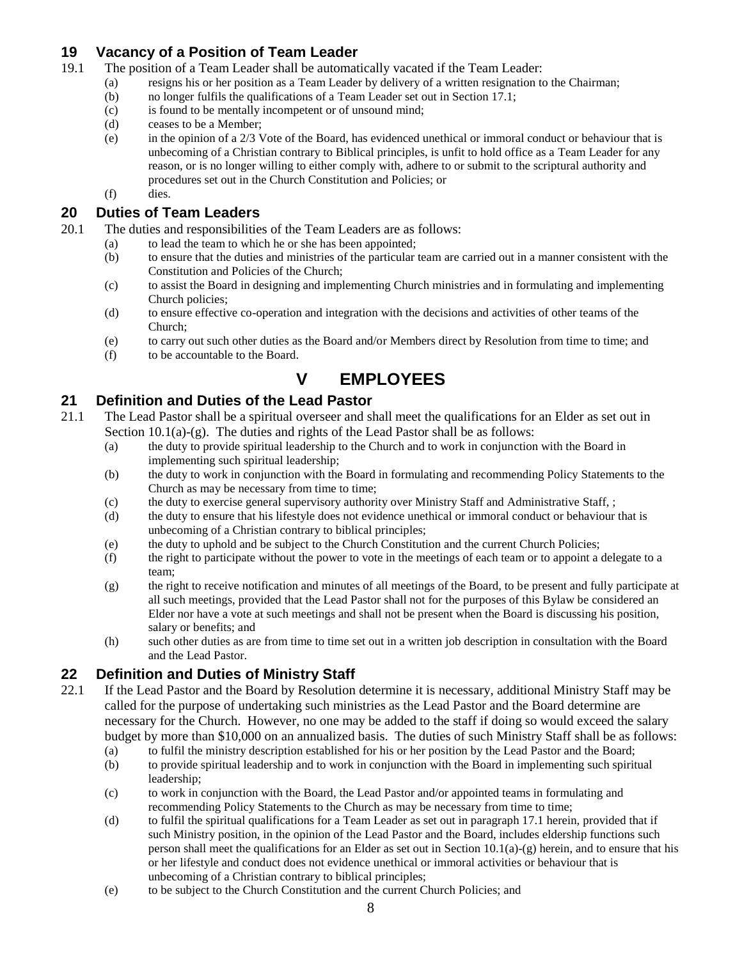#### <span id="page-7-0"></span>**19 Vacancy of a Position of Team Leader**

- 19.1 The position of a Team Leader shall be automatically vacated if the Team Leader:
	- (a) resigns his or her position as a Team Leader by delivery of a written resignation to the Chairman;
	- (b) no longer fulfils the qualifications of a Team Leader set out in Section [17.1;](#page-6-4)
	- (c) is found to be mentally incompetent or of unsound mind;
	- (d) ceases to be a Member;
	- (e) in the opinion of a 2/3 Vote of the Board, has evidenced unethical or immoral conduct or behaviour that is unbecoming of a Christian contrary to Biblical principles, is unfit to hold office as a Team Leader for any reason, or is no longer willing to either comply with, adhere to or submit to the scriptural authority and procedures set out in the Church Constitution and Policies; or
	- (f) dies.

#### <span id="page-7-1"></span>**20 Duties of Team Leaders**

- 20.1 The duties and responsibilities of the Team Leaders are as follows:
	- (a) to lead the team to which he or she has been appointed;
	- (b) to ensure that the duties and ministries of the particular team are carried out in a manner consistent with the Constitution and Policies of the Church;
	- (c) to assist the Board in designing and implementing Church ministries and in formulating and implementing Church policies;
	- (d) to ensure effective co-operation and integration with the decisions and activities of other teams of the Church;
	- (e) to carry out such other duties as the Board and/or Members direct by Resolution from time to time; and
	- (f) to be accountable to the Board.

## **V EMPLOYEES**

#### <span id="page-7-3"></span><span id="page-7-2"></span>**21 Definition and Duties of the Lead Pastor**

- 21.1 The Lead Pastor shall be a spiritual overseer and shall meet the qualifications for an Elder as set out in Section  $10.1(a)-(g)$ . The duties and rights of the Lead Pastor shall be as follows:
	- (a) the duty to provide spiritual leadership to the Church and to work in conjunction with the Board in implementing such spiritual leadership;
	- (b) the duty to work in conjunction with the Board in formulating and recommending Policy Statements to the Church as may be necessary from time to time;
	- (c) the duty to exercise general supervisory authority over Ministry Staff and Administrative Staff, ;
	- (d) the duty to ensure that his lifestyle does not evidence unethical or immoral conduct or behaviour that is unbecoming of a Christian contrary to biblical principles;
	- (e) the duty to uphold and be subject to the Church Constitution and the current Church Policies;
	- (f) the right to participate without the power to vote in the meetings of each team or to appoint a delegate to a team;
	- (g) the right to receive notification and minutes of all meetings of the Board, to be present and fully participate at all such meetings, provided that the Lead Pastor shall not for the purposes of this Bylaw be considered an Elder nor have a vote at such meetings and shall not be present when the Board is discussing his position, salary or benefits; and
	- (h) such other duties as are from time to time set out in a written job description in consultation with the Board and the Lead Pastor.

### <span id="page-7-4"></span>**22 Definition and Duties of Ministry Staff**

- 22.1 If the Lead Pastor and the Board by Resolution determine it is necessary, additional Ministry Staff may be called for the purpose of undertaking such ministries as the Lead Pastor and the Board determine are necessary for the Church. However, no one may be added to the staff if doing so would exceed the salary budget by more than \$10,000 on an annualized basis. The duties of such Ministry Staff shall be as follows:
	- (a) to fulfil the ministry description established for his or her position by the Lead Pastor and the Board; (b) to provide spiritual leadership and to work in conjunction with the Board in implementing such spiritual leadership;
	- (c) to work in conjunction with the Board, the Lead Pastor and/or appointed teams in formulating and recommending Policy Statements to the Church as may be necessary from time to time;
	- (d) to fulfil the spiritual qualifications for a Team Leader as set out in paragraph [17.1](#page-6-4) herein, provided that if such Ministry position, in the opinion of the Lead Pastor and the Board, includes eldership functions such person shall meet the qualifications for an Elder as set out in Section  $10.1(a)-(g)$  herein, and to ensure that his or her lifestyle and conduct does not evidence unethical or immoral activities or behaviour that is unbecoming of a Christian contrary to biblical principles;
	- (e) to be subject to the Church Constitution and the current Church Policies; and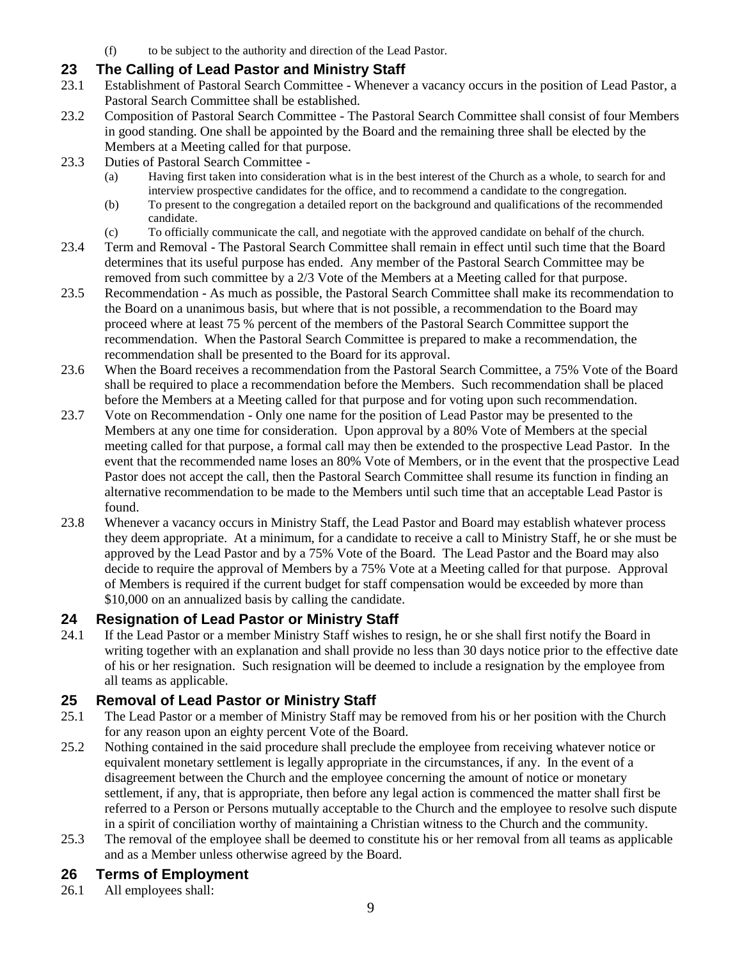(f) to be subject to the authority and direction of the Lead Pastor.

### <span id="page-8-0"></span>**23 The Calling of Lead Pastor and Ministry Staff**

- 23.1 Establishment of Pastoral Search Committee Whenever a vacancy occurs in the position of Lead Pastor, a Pastoral Search Committee shall be established.
- 23.2 Composition of Pastoral Search Committee The Pastoral Search Committee shall consist of four Members in good standing. One shall be appointed by the Board and the remaining three shall be elected by the Members at a Meeting called for that purpose.
- 23.3 Duties of Pastoral Search Committee
	- (a) Having first taken into consideration what is in the best interest of the Church as a whole, to search for and interview prospective candidates for the office, and to recommend a candidate to the congregation.
	- (b) To present to the congregation a detailed report on the background and qualifications of the recommended candidate.
	- (c) To officially communicate the call, and negotiate with the approved candidate on behalf of the church.
- 23.4 Term and Removal The Pastoral Search Committee shall remain in effect until such time that the Board determines that its useful purpose has ended. Any member of the Pastoral Search Committee may be removed from such committee by a 2/3 Vote of the Members at a Meeting called for that purpose.
- 23.5 Recommendation As much as possible, the Pastoral Search Committee shall make its recommendation to the Board on a unanimous basis, but where that is not possible, a recommendation to the Board may proceed where at least 75 % percent of the members of the Pastoral Search Committee support the recommendation. When the Pastoral Search Committee is prepared to make a recommendation, the recommendation shall be presented to the Board for its approval.
- 23.6 When the Board receives a recommendation from the Pastoral Search Committee, a 75% Vote of the Board shall be required to place a recommendation before the Members. Such recommendation shall be placed before the Members at a Meeting called for that purpose and for voting upon such recommendation.
- 23.7 Vote on Recommendation Only one name for the position of Lead Pastor may be presented to the Members at any one time for consideration. Upon approval by a 80% Vote of Members at the special meeting called for that purpose, a formal call may then be extended to the prospective Lead Pastor. In the event that the recommended name loses an 80% Vote of Members, or in the event that the prospective Lead Pastor does not accept the call, then the Pastoral Search Committee shall resume its function in finding an alternative recommendation to be made to the Members until such time that an acceptable Lead Pastor is found.
- 23.8 Whenever a vacancy occurs in Ministry Staff, the Lead Pastor and Board may establish whatever process they deem appropriate. At a minimum, for a candidate to receive a call to Ministry Staff, he or she must be approved by the Lead Pastor and by a 75% Vote of the Board. The Lead Pastor and the Board may also decide to require the approval of Members by a 75% Vote at a Meeting called for that purpose. Approval of Members is required if the current budget for staff compensation would be exceeded by more than \$10,000 on an annualized basis by calling the candidate.

### <span id="page-8-1"></span>**24 Resignation of Lead Pastor or Ministry Staff**

24.1 If the Lead Pastor or a member Ministry Staff wishes to resign, he or she shall first notify the Board in writing together with an explanation and shall provide no less than 30 days notice prior to the effective date of his or her resignation. Such resignation will be deemed to include a resignation by the employee from all teams as applicable.

### <span id="page-8-2"></span>**25 Removal of Lead Pastor or Ministry Staff**

- 25.1 The Lead Pastor or a member of Ministry Staff may be removed from his or her position with the Church for any reason upon an eighty percent Vote of the Board.
- 25.2 Nothing contained in the said procedure shall preclude the employee from receiving whatever notice or equivalent monetary settlement is legally appropriate in the circumstances, if any. In the event of a disagreement between the Church and the employee concerning the amount of notice or monetary settlement, if any, that is appropriate, then before any legal action is commenced the matter shall first be referred to a Person or Persons mutually acceptable to the Church and the employee to resolve such dispute in a spirit of conciliation worthy of maintaining a Christian witness to the Church and the community.
- 25.3 The removal of the employee shall be deemed to constitute his or her removal from all teams as applicable and as a Member unless otherwise agreed by the Board.

### <span id="page-8-3"></span>**26 Terms of Employment**

26.1 All employees shall: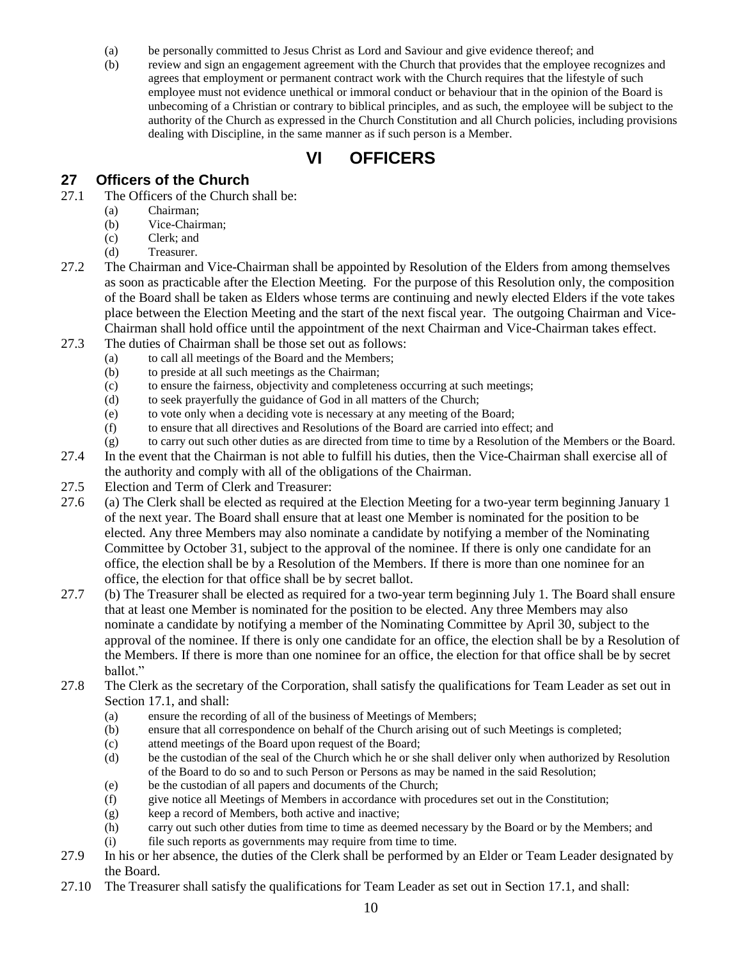- (a) be personally committed to Jesus Christ as Lord and Saviour and give evidence thereof; and
- (b) review and sign an engagement agreement with the Church that provides that the employee recognizes and agrees that employment or permanent contract work with the Church requires that the lifestyle of such employee must not evidence unethical or immoral conduct or behaviour that in the opinion of the Board is unbecoming of a Christian or contrary to biblical principles, and as such, the employee will be subject to the authority of the Church as expressed in the Church Constitution and all Church policies, including provisions dealing with Discipline, in the same manner as if such person is a Member.

## **VI OFFICERS**

#### <span id="page-9-1"></span><span id="page-9-0"></span>**27 Officers of the Church**

- <span id="page-9-2"></span>27.1 The Officers of the Church shall be:
	- (a) Chairman;
	- (b) Vice-Chairman;
	- (c) Clerk; and
	- (d) Treasurer.
- 27.2 The Chairman and Vice-Chairman shall be appointed by Resolution of the Elders from among themselves as soon as practicable after the Election Meeting. For the purpose of this Resolution only, the composition of the Board shall be taken as Elders whose terms are continuing and newly elected Elders if the vote takes place between the Election Meeting and the start of the next fiscal year. The outgoing Chairman and Vice-Chairman shall hold office until the appointment of the next Chairman and Vice-Chairman takes effect.
- 27.3 The duties of Chairman shall be those set out as follows:
	- (a) to call all meetings of the Board and the Members;
	- (b) to preside at all such meetings as the Chairman;
	- (c) to ensure the fairness, objectivity and completeness occurring at such meetings;
	- (d) to seek prayerfully the guidance of God in all matters of the Church;
	- (e) to vote only when a deciding vote is necessary at any meeting of the Board;
	- (f) to ensure that all directives and Resolutions of the Board are carried into effect; and
	- (g) to carry out such other duties as are directed from time to time by a Resolution of the Members or the Board.
- 27.4 In the event that the Chairman is not able to fulfill his duties, then the Vice-Chairman shall exercise all of the authority and comply with all of the obligations of the Chairman.
- 27.5 Election and Term of Clerk and Treasurer:
- 27.6 (a) The Clerk shall be elected as required at the Election Meeting for a two-year term beginning January 1 of the next year. The Board shall ensure that at least one Member is nominated for the position to be elected. Any three Members may also nominate a candidate by notifying a member of the Nominating Committee by October 31, subject to the approval of the nominee. If there is only one candidate for an office, the election shall be by a Resolution of the Members. If there is more than one nominee for an office, the election for that office shall be by secret ballot.
- 27.7 (b) The Treasurer shall be elected as required for a two-year term beginning July 1. The Board shall ensure that at least one Member is nominated for the position to be elected. Any three Members may also nominate a candidate by notifying a member of the Nominating Committee by April 30, subject to the approval of the nominee. If there is only one candidate for an office, the election shall be by a Resolution of the Members. If there is more than one nominee for an office, the election for that office shall be by secret ballot."
- 27.8 The Clerk as the secretary of the Corporation, shall satisfy the qualifications for Team Leader as set out in Section [17.1,](#page-6-4) and shall:
	- (a) ensure the recording of all of the business of Meetings of Members;
	- (b) ensure that all correspondence on behalf of the Church arising out of such Meetings is completed;
	- (c) attend meetings of the Board upon request of the Board;
	- (d) be the custodian of the seal of the Church which he or she shall deliver only when authorized by Resolution of the Board to do so and to such Person or Persons as may be named in the said Resolution;
	- (e) be the custodian of all papers and documents of the Church;
	- (f) give notice all Meetings of Members in accordance with procedures set out in the Constitution;
	- (g) keep a record of Members, both active and inactive;
	- (h) carry out such other duties from time to time as deemed necessary by the Board or by the Members; and
	- (i) file such reports as governments may require from time to time.
- 27.9 In his or her absence, the duties of the Clerk shall be performed by an Elder or Team Leader designated by the Board.
- 27.10 The Treasurer shall satisfy the qualifications for Team Leader as set out in Section [17.1,](#page-6-4) and shall: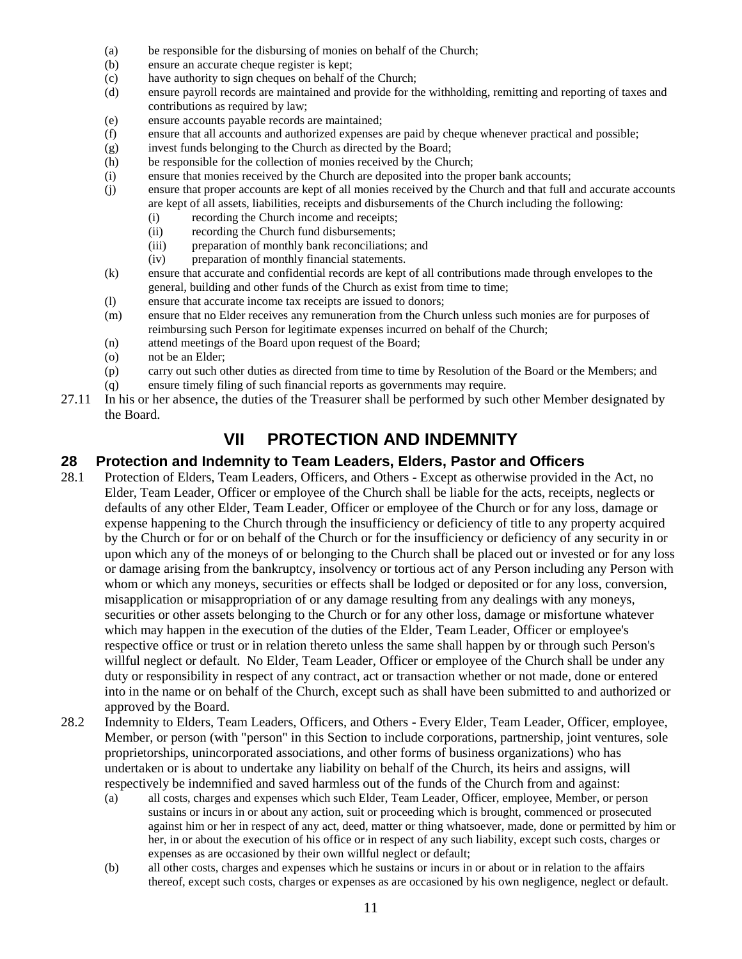- (a) be responsible for the disbursing of monies on behalf of the Church;
- (b) ensure an accurate cheque register is kept;
- (c) have authority to sign cheques on behalf of the Church;
- (d) ensure payroll records are maintained and provide for the withholding, remitting and reporting of taxes and contributions as required by law;
- (e) ensure accounts payable records are maintained;
- (f) ensure that all accounts and authorized expenses are paid by cheque whenever practical and possible;
- (g) invest funds belonging to the Church as directed by the Board;
- (h) be responsible for the collection of monies received by the Church;
- (i) ensure that monies received by the Church are deposited into the proper bank accounts;
- (j) ensure that proper accounts are kept of all monies received by the Church and that full and accurate accounts are kept of all assets, liabilities, receipts and disbursements of the Church including the following:
	- (i) recording the Church income and receipts;
	- (ii) recording the Church fund disbursements;
	- (iii) preparation of monthly bank reconciliations; and
	- (iv) preparation of monthly financial statements.
- (k) ensure that accurate and confidential records are kept of all contributions made through envelopes to the general, building and other funds of the Church as exist from time to time;
- (l) ensure that accurate income tax receipts are issued to donors;
- (m) ensure that no Elder receives any remuneration from the Church unless such monies are for purposes of reimbursing such Person for legitimate expenses incurred on behalf of the Church;
- (n) attend meetings of the Board upon request of the Board;
- (o) not be an Elder;
- (p) carry out such other duties as directed from time to time by Resolution of the Board or the Members; and
- (q) ensure timely filing of such financial reports as governments may require.
- <span id="page-10-0"></span>27.11 In his or her absence, the duties of the Treasurer shall be performed by such other Member designated by the Board.

## **VII PROTECTION AND INDEMNITY**

#### <span id="page-10-1"></span>**28 Protection and Indemnity to Team Leaders, Elders, Pastor and Officers**

- 28.1 Protection of Elders, Team Leaders, Officers, and Others Except as otherwise provided in the Act, no Elder, Team Leader, Officer or employee of the Church shall be liable for the acts, receipts, neglects or defaults of any other Elder, Team Leader, Officer or employee of the Church or for any loss, damage or expense happening to the Church through the insufficiency or deficiency of title to any property acquired by the Church or for or on behalf of the Church or for the insufficiency or deficiency of any security in or upon which any of the moneys of or belonging to the Church shall be placed out or invested or for any loss or damage arising from the bankruptcy, insolvency or tortious act of any Person including any Person with whom or which any moneys, securities or effects shall be lodged or deposited or for any loss, conversion, misapplication or misappropriation of or any damage resulting from any dealings with any moneys, securities or other assets belonging to the Church or for any other loss, damage or misfortune whatever which may happen in the execution of the duties of the Elder, Team Leader, Officer or employee's respective office or trust or in relation thereto unless the same shall happen by or through such Person's willful neglect or default. No Elder, Team Leader, Officer or employee of the Church shall be under any duty or responsibility in respect of any contract, act or transaction whether or not made, done or entered into in the name or on behalf of the Church, except such as shall have been submitted to and authorized or approved by the Board.
- 28.2 Indemnity to Elders, Team Leaders, Officers, and Others Every Elder, Team Leader, Officer, employee, Member, or person (with "person" in this Section to include corporations, partnership, joint ventures, sole proprietorships, unincorporated associations, and other forms of business organizations) who has undertaken or is about to undertake any liability on behalf of the Church, its heirs and assigns, will respectively be indemnified and saved harmless out of the funds of the Church from and against:
	- (a) all costs, charges and expenses which such Elder, Team Leader, Officer, employee, Member, or person sustains or incurs in or about any action, suit or proceeding which is brought, commenced or prosecuted against him or her in respect of any act, deed, matter or thing whatsoever, made, done or permitted by him or her, in or about the execution of his office or in respect of any such liability, except such costs, charges or expenses as are occasioned by their own willful neglect or default;
	- (b) all other costs, charges and expenses which he sustains or incurs in or about or in relation to the affairs thereof, except such costs, charges or expenses as are occasioned by his own negligence, neglect or default.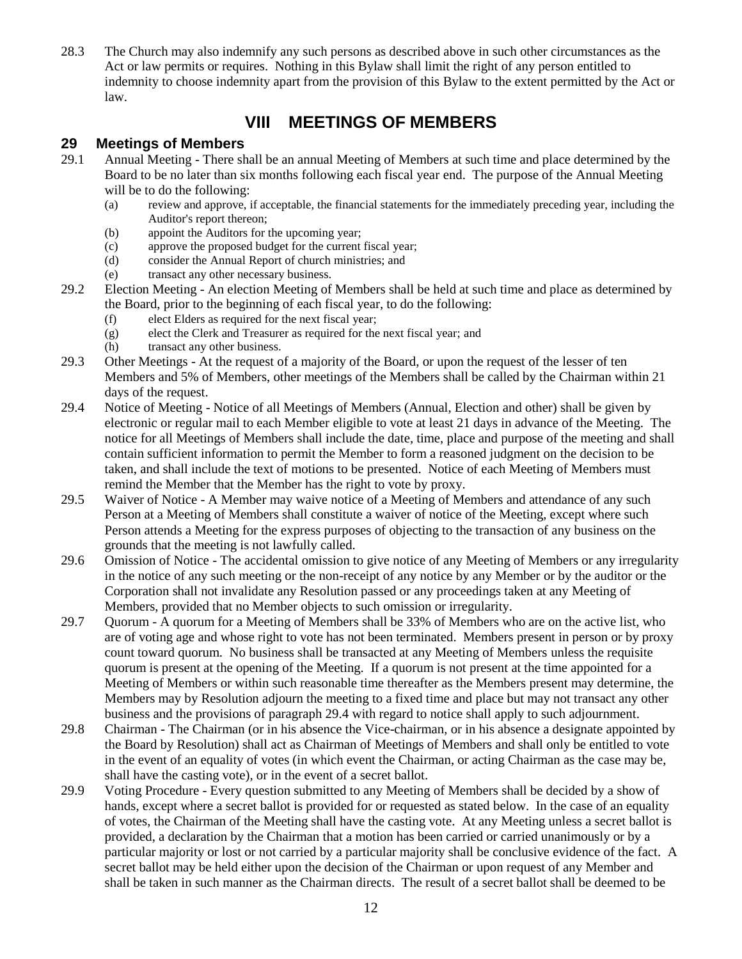28.3 The Church may also indemnify any such persons as described above in such other circumstances as the Act or law permits or requires. Nothing in this Bylaw shall limit the right of any person entitled to indemnity to choose indemnity apart from the provision of this Bylaw to the extent permitted by the Act or law.

## **VIII MEETINGS OF MEMBERS**

#### <span id="page-11-1"></span><span id="page-11-0"></span>**29 Meetings of Members**

- 29.1 Annual Meeting There shall be an annual Meeting of Members at such time and place determined by the Board to be no later than six months following each fiscal year end. The purpose of the Annual Meeting will be to do the following:
	- (a) review and approve, if acceptable, the financial statements for the immediately preceding year, including the Auditor's report thereon;
	- (b) appoint the Auditors for the upcoming year;
	- (c) approve the proposed budget for the current fiscal year;
	- (d) consider the Annual Report of church ministries; and
	- (e) transact any other necessary business.
- 29.2 Election Meeting An election Meeting of Members shall be held at such time and place as determined by the Board, prior to the beginning of each fiscal year, to do the following:
	- (f) elect Elders as required for the next fiscal year;
	- (g) elect the Clerk and Treasurer as required for the next fiscal year; and
	- (h) transact any other business.
- 29.3 Other Meetings At the request of a majority of the Board, or upon the request of the lesser of ten Members and 5% of Members, other meetings of the Members shall be called by the Chairman within 21 days of the request.
- <span id="page-11-2"></span>29.4 Notice of Meeting - Notice of all Meetings of Members (Annual, Election and other) shall be given by electronic or regular mail to each Member eligible to vote at least 21 days in advance of the Meeting. The notice for all Meetings of Members shall include the date, time, place and purpose of the meeting and shall contain sufficient information to permit the Member to form a reasoned judgment on the decision to be taken, and shall include the text of motions to be presented. Notice of each Meeting of Members must remind the Member that the Member has the right to vote by proxy.
- 29.5 Waiver of Notice A Member may waive notice of a Meeting of Members and attendance of any such Person at a Meeting of Members shall constitute a waiver of notice of the Meeting, except where such Person attends a Meeting for the express purposes of objecting to the transaction of any business on the grounds that the meeting is not lawfully called.
- 29.6 Omission of Notice The accidental omission to give notice of any Meeting of Members or any irregularity in the notice of any such meeting or the non-receipt of any notice by any Member or by the auditor or the Corporation shall not invalidate any Resolution passed or any proceedings taken at any Meeting of Members, provided that no Member objects to such omission or irregularity.
- 29.7 Quorum A quorum for a Meeting of Members shall be 33% of Members who are on the active list, who are of voting age and whose right to vote has not been terminated. Members present in person or by proxy count toward quorum. No business shall be transacted at any Meeting of Members unless the requisite quorum is present at the opening of the Meeting. If a quorum is not present at the time appointed for a Meeting of Members or within such reasonable time thereafter as the Members present may determine, the Members may by Resolution adjourn the meeting to a fixed time and place but may not transact any other business and the provisions of paragraph [29.4](#page-11-2) with regard to notice shall apply to such adjournment.
- 29.8 Chairman The Chairman (or in his absence the Vice-chairman, or in his absence a designate appointed by the Board by Resolution) shall act as Chairman of Meetings of Members and shall only be entitled to vote in the event of an equality of votes (in which event the Chairman, or acting Chairman as the case may be, shall have the casting vote), or in the event of a secret ballot.
- 29.9 Voting Procedure Every question submitted to any Meeting of Members shall be decided by a show of hands, except where a secret ballot is provided for or requested as stated below. In the case of an equality of votes, the Chairman of the Meeting shall have the casting vote. At any Meeting unless a secret ballot is provided, a declaration by the Chairman that a motion has been carried or carried unanimously or by a particular majority or lost or not carried by a particular majority shall be conclusive evidence of the fact. A secret ballot may be held either upon the decision of the Chairman or upon request of any Member and shall be taken in such manner as the Chairman directs. The result of a secret ballot shall be deemed to be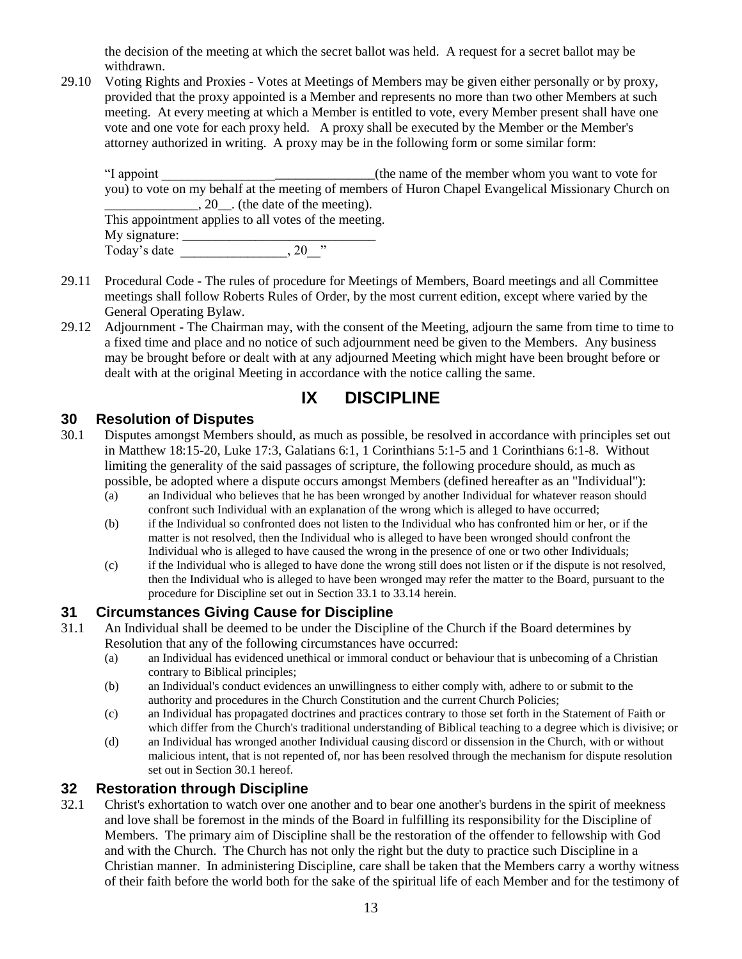the decision of the meeting at which the secret ballot was held. A request for a secret ballot may be withdrawn.

29.10 Voting Rights and Proxies - Votes at Meetings of Members may be given either personally or by proxy, provided that the proxy appointed is a Member and represents no more than two other Members at such meeting. At every meeting at which a Member is entitled to vote, every Member present shall have one vote and one vote for each proxy held. A proxy shall be executed by the Member or the Member's attorney authorized in writing. A proxy may be in the following form or some similar form:

"I appoint The subset of the name of the member whom you want to vote for you) to vote on my behalf at the meeting of members of Huron Chapel Evangelical Missionary Church on  $\frac{1}{20}$ , 20  $\frac{1}{20}$ . (the date of the meeting).

This appointment applies to all votes of the meeting. My signature:  $\overline{\phantom{a}}$ Today's date \_\_\_\_\_\_\_\_\_\_\_\_\_\_\_\_, 20\_\_"

- 29.11 Procedural Code The rules of procedure for Meetings of Members, Board meetings and all Committee meetings shall follow Roberts Rules of Order, by the most current edition, except where varied by the General Operating Bylaw.
- 29.12 Adjournment The Chairman may, with the consent of the Meeting, adjourn the same from time to time to a fixed time and place and no notice of such adjournment need be given to the Members. Any business may be brought before or dealt with at any adjourned Meeting which might have been brought before or dealt with at the original Meeting in accordance with the notice calling the same.

## **IX DISCIPLINE**

#### <span id="page-12-1"></span><span id="page-12-0"></span>**30 Resolution of Disputes**

- <span id="page-12-5"></span>30.1 Disputes amongst Members should, as much as possible, be resolved in accordance with principles set out in Matthew 18:15-20, Luke 17:3, Galatians 6:1, 1 Corinthians 5:1-5 and 1 Corinthians 6:1-8. Without limiting the generality of the said passages of scripture, the following procedure should, as much as possible, be adopted where a dispute occurs amongst Members (defined hereafter as an "Individual"):
	- (a) an Individual who believes that he has been wronged by another Individual for whatever reason should confront such Individual with an explanation of the wrong which is alleged to have occurred;
	- (b) if the Individual so confronted does not listen to the Individual who has confronted him or her, or if the matter is not resolved, then the Individual who is alleged to have been wronged should confront the Individual who is alleged to have caused the wrong in the presence of one or two other Individuals;
	- (c) if the Individual who is alleged to have done the wrong still does not listen or if the dispute is not resolved, then the Individual who is alleged to have been wronged may refer the matter to the Board, pursuant to the procedure for Discipline set out in Section [33.1](#page-13-1) t[o 33.14](#page-13-2) herein.

#### <span id="page-12-2"></span>**31 Circumstances Giving Cause for Discipline**

- <span id="page-12-4"></span>31.1 An Individual shall be deemed to be under the Discipline of the Church if the Board determines by Resolution that any of the following circumstances have occurred:
	- (a) an Individual has evidenced unethical or immoral conduct or behaviour that is unbecoming of a Christian contrary to Biblical principles;
	- (b) an Individual's conduct evidences an unwillingness to either comply with, adhere to or submit to the authority and procedures in the Church Constitution and the current Church Policies;
	- (c) an Individual has propagated doctrines and practices contrary to those set forth in the Statement of Faith or which differ from the Church's traditional understanding of Biblical teaching to a degree which is divisive; or
	- (d) an Individual has wronged another Individual causing discord or dissension in the Church, with or without malicious intent, that is not repented of, nor has been resolved through the mechanism for dispute resolution set out in Section [30.1](#page-12-5) hereof.

#### <span id="page-12-3"></span>**32 Restoration through Discipline**

32.1 Christ's exhortation to watch over one another and to bear one another's burdens in the spirit of meekness and love shall be foremost in the minds of the Board in fulfilling its responsibility for the Discipline of Members. The primary aim of Discipline shall be the restoration of the offender to fellowship with God and with the Church. The Church has not only the right but the duty to practice such Discipline in a Christian manner. In administering Discipline, care shall be taken that the Members carry a worthy witness of their faith before the world both for the sake of the spiritual life of each Member and for the testimony of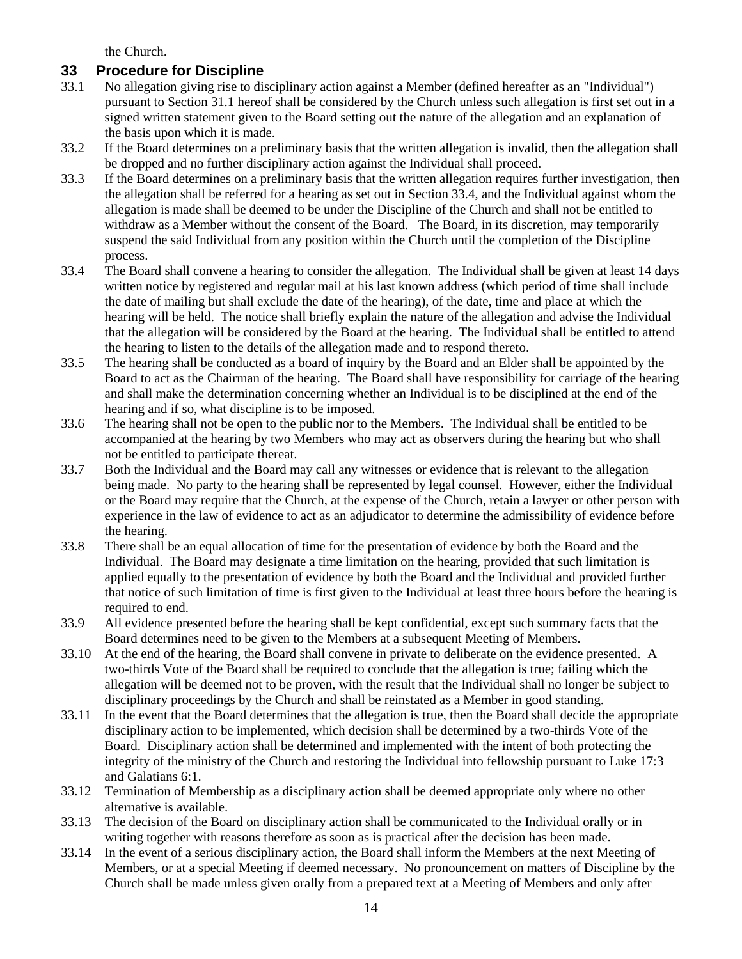the Church.

#### <span id="page-13-0"></span>**33 Procedure for Discipline**

- <span id="page-13-1"></span>33.1 No allegation giving rise to disciplinary action against a Member (defined hereafter as an "Individual") pursuant to Section [31.1](#page-12-4) hereof shall be considered by the Church unless such allegation is first set out in a signed written statement given to the Board setting out the nature of the allegation and an explanation of the basis upon which it is made.
- 33.2 If the Board determines on a preliminary basis that the written allegation is invalid, then the allegation shall be dropped and no further disciplinary action against the Individual shall proceed.
- 33.3 If the Board determines on a preliminary basis that the written allegation requires further investigation, then the allegation shall be referred for a hearing as set out in Sectio[n 33.4,](#page-13-3) and the Individual against whom the allegation is made shall be deemed to be under the Discipline of the Church and shall not be entitled to withdraw as a Member without the consent of the Board. The Board, in its discretion, may temporarily suspend the said Individual from any position within the Church until the completion of the Discipline process.
- <span id="page-13-3"></span>33.4 The Board shall convene a hearing to consider the allegation. The Individual shall be given at least 14 days written notice by registered and regular mail at his last known address (which period of time shall include the date of mailing but shall exclude the date of the hearing), of the date, time and place at which the hearing will be held. The notice shall briefly explain the nature of the allegation and advise the Individual that the allegation will be considered by the Board at the hearing. The Individual shall be entitled to attend the hearing to listen to the details of the allegation made and to respond thereto.
- 33.5 The hearing shall be conducted as a board of inquiry by the Board and an Elder shall be appointed by the Board to act as the Chairman of the hearing. The Board shall have responsibility for carriage of the hearing and shall make the determination concerning whether an Individual is to be disciplined at the end of the hearing and if so, what discipline is to be imposed.
- 33.6 The hearing shall not be open to the public nor to the Members. The Individual shall be entitled to be accompanied at the hearing by two Members who may act as observers during the hearing but who shall not be entitled to participate thereat.
- 33.7 Both the Individual and the Board may call any witnesses or evidence that is relevant to the allegation being made. No party to the hearing shall be represented by legal counsel. However, either the Individual or the Board may require that the Church, at the expense of the Church, retain a lawyer or other person with experience in the law of evidence to act as an adjudicator to determine the admissibility of evidence before the hearing.
- 33.8 There shall be an equal allocation of time for the presentation of evidence by both the Board and the Individual. The Board may designate a time limitation on the hearing, provided that such limitation is applied equally to the presentation of evidence by both the Board and the Individual and provided further that notice of such limitation of time is first given to the Individual at least three hours before the hearing is required to end.
- 33.9 All evidence presented before the hearing shall be kept confidential, except such summary facts that the Board determines need to be given to the Members at a subsequent Meeting of Members.
- 33.10 At the end of the hearing, the Board shall convene in private to deliberate on the evidence presented. A two-thirds Vote of the Board shall be required to conclude that the allegation is true; failing which the allegation will be deemed not to be proven, with the result that the Individual shall no longer be subject to disciplinary proceedings by the Church and shall be reinstated as a Member in good standing.
- 33.11 In the event that the Board determines that the allegation is true, then the Board shall decide the appropriate disciplinary action to be implemented, which decision shall be determined by a two-thirds Vote of the Board. Disciplinary action shall be determined and implemented with the intent of both protecting the integrity of the ministry of the Church and restoring the Individual into fellowship pursuant to Luke 17:3 and Galatians 6:1.
- 33.12 Termination of Membership as a disciplinary action shall be deemed appropriate only where no other alternative is available.
- 33.13 The decision of the Board on disciplinary action shall be communicated to the Individual orally or in writing together with reasons therefore as soon as is practical after the decision has been made.
- <span id="page-13-2"></span>33.14 In the event of a serious disciplinary action, the Board shall inform the Members at the next Meeting of Members, or at a special Meeting if deemed necessary. No pronouncement on matters of Discipline by the Church shall be made unless given orally from a prepared text at a Meeting of Members and only after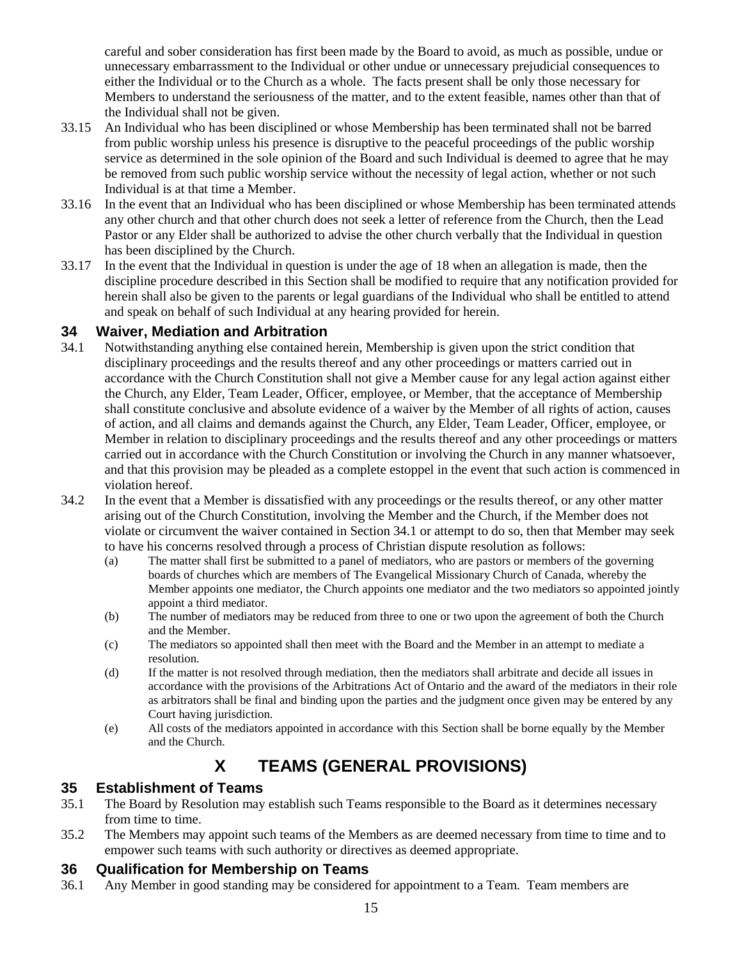careful and sober consideration has first been made by the Board to avoid, as much as possible, undue or unnecessary embarrassment to the Individual or other undue or unnecessary prejudicial consequences to either the Individual or to the Church as a whole. The facts present shall be only those necessary for Members to understand the seriousness of the matter, and to the extent feasible, names other than that of the Individual shall not be given.

- <span id="page-14-4"></span>33.15 An Individual who has been disciplined or whose Membership has been terminated shall not be barred from public worship unless his presence is disruptive to the peaceful proceedings of the public worship service as determined in the sole opinion of the Board and such Individual is deemed to agree that he may be removed from such public worship service without the necessity of legal action, whether or not such Individual is at that time a Member.
- 33.16 In the event that an Individual who has been disciplined or whose Membership has been terminated attends any other church and that other church does not seek a letter of reference from the Church, then the Lead Pastor or any Elder shall be authorized to advise the other church verbally that the Individual in question has been disciplined by the Church.
- 33.17 In the event that the Individual in question is under the age of 18 when an allegation is made, then the discipline procedure described in this Section shall be modified to require that any notification provided for herein shall also be given to the parents or legal guardians of the Individual who shall be entitled to attend and speak on behalf of such Individual at any hearing provided for herein.

#### <span id="page-14-0"></span>**34 Waiver, Mediation and Arbitration**

- <span id="page-14-5"></span>34.1 Notwithstanding anything else contained herein, Membership is given upon the strict condition that disciplinary proceedings and the results thereof and any other proceedings or matters carried out in accordance with the Church Constitution shall not give a Member cause for any legal action against either the Church, any Elder, Team Leader, Officer, employee, or Member, that the acceptance of Membership shall constitute conclusive and absolute evidence of a waiver by the Member of all rights of action, causes of action, and all claims and demands against the Church, any Elder, Team Leader, Officer, employee, or Member in relation to disciplinary proceedings and the results thereof and any other proceedings or matters carried out in accordance with the Church Constitution or involving the Church in any manner whatsoever, and that this provision may be pleaded as a complete estoppel in the event that such action is commenced in violation hereof.
- 34.2 In the event that a Member is dissatisfied with any proceedings or the results thereof, or any other matter arising out of the Church Constitution, involving the Member and the Church, if the Member does not violate or circumvent the waiver contained in Sectio[n 34.1](#page-14-5) or attempt to do so, then that Member may seek to have his concerns resolved through a process of Christian dispute resolution as follows:
	- (a) The matter shall first be submitted to a panel of mediators, who are pastors or members of the governing boards of churches which are members of The Evangelical Missionary Church of Canada, whereby the Member appoints one mediator, the Church appoints one mediator and the two mediators so appointed jointly appoint a third mediator.
	- (b) The number of mediators may be reduced from three to one or two upon the agreement of both the Church and the Member.
	- (c) The mediators so appointed shall then meet with the Board and the Member in an attempt to mediate a resolution.
	- (d) If the matter is not resolved through mediation, then the mediators shall arbitrate and decide all issues in accordance with the provisions of the Arbitrations Act of Ontario and the award of the mediators in their role as arbitrators shall be final and binding upon the parties and the judgment once given may be entered by any Court having jurisdiction.
	- (e) All costs of the mediators appointed in accordance with this Section shall be borne equally by the Member and the Church.

## **X TEAMS (GENERAL PROVISIONS)**

#### <span id="page-14-2"></span><span id="page-14-1"></span>**35 Establishment of Teams**

- 35.1 The Board by Resolution may establish such Teams responsible to the Board as it determines necessary from time to time.
- 35.2 The Members may appoint such teams of the Members as are deemed necessary from time to time and to empower such teams with such authority or directives as deemed appropriate.

#### <span id="page-14-3"></span>**36 Qualification for Membership on Teams**

36.1 Any Member in good standing may be considered for appointment to a Team. Team members are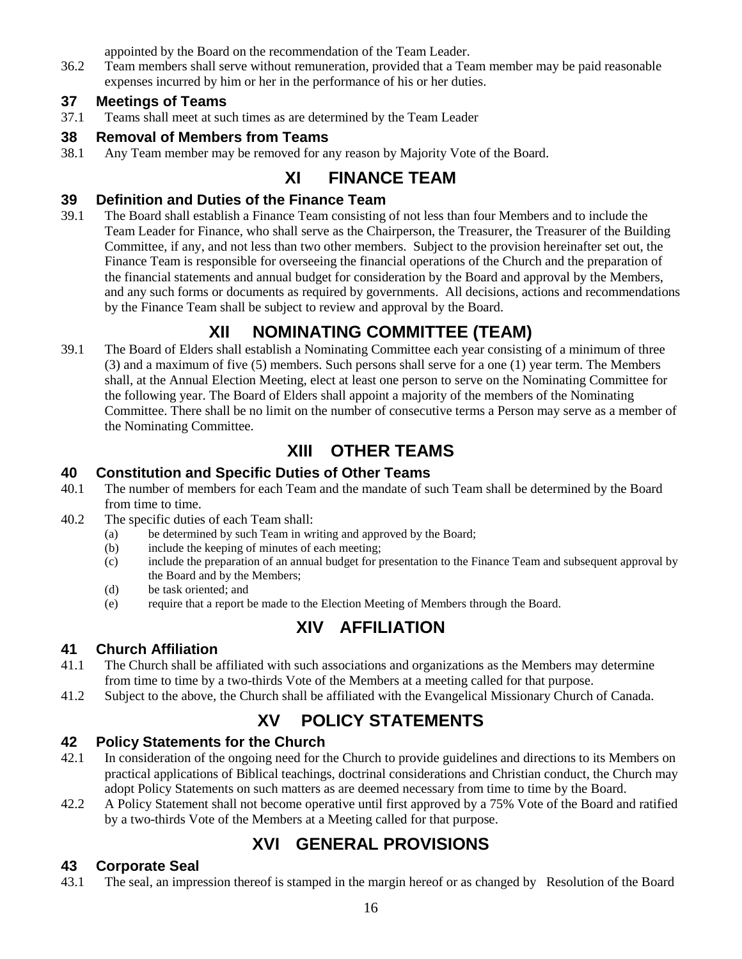appointed by the Board on the recommendation of the Team Leader.

36.2 Team members shall serve without remuneration, provided that a Team member may be paid reasonable expenses incurred by him or her in the performance of his or her duties.

#### <span id="page-15-0"></span>**37 Meetings of Teams**

37.1 Teams shall meet at such times as are determined by the Team Leader

#### <span id="page-15-1"></span>**38 Removal of Members from Teams**

<span id="page-15-2"></span>38.1 Any Team member may be removed for any reason by Majority Vote of the Board.

## **XI FINANCE TEAM**

#### <span id="page-15-3"></span>**39 Definition and Duties of the Finance Team**

39.1 The Board shall establish a Finance Team consisting of not less than four Members and to include the Team Leader for Finance, who shall serve as the Chairperson, the Treasurer, the Treasurer of the Building Committee, if any, and not less than two other members. Subject to the provision hereinafter set out, the Finance Team is responsible for overseeing the financial operations of the Church and the preparation of the financial statements and annual budget for consideration by the Board and approval by the Members, and any such forms or documents as required by governments. All decisions, actions and recommendations by the Finance Team shall be subject to review and approval by the Board.

## **XII NOMINATING COMMITTEE (TEAM)**

<span id="page-15-4"></span>39.1 The Board of Elders shall establish a Nominating Committee each year consisting of a minimum of three (3) and a maximum of five (5) members. Such persons shall serve for a one (1) year term. The Members shall, at the Annual Election Meeting, elect at least one person to serve on the Nominating Committee for the following year. The Board of Elders shall appoint a majority of the members of the Nominating Committee. There shall be no limit on the number of consecutive terms a Person may serve as a member of the Nominating Committee.

## **XIII OTHER TEAMS**

#### <span id="page-15-6"></span><span id="page-15-5"></span>**40 Constitution and Specific Duties of Other Teams**

- 40.1 The number of members for each Team and the mandate of such Team shall be determined by the Board from time to time.
- 40.2 The specific duties of each Team shall:
	- (a) be determined by such Team in writing and approved by the Board;
	- (b) include the keeping of minutes of each meeting;
	- (c) include the preparation of an annual budget for presentation to the Finance Team and subsequent approval by the Board and by the Members;
	- (d) be task oriented; and
	- (e) require that a report be made to the Election Meeting of Members through the Board.

## **XIV AFFILIATION**

### <span id="page-15-8"></span><span id="page-15-7"></span>**41 Church Affiliation**

- 41.1 The Church shall be affiliated with such associations and organizations as the Members may determine from time to time by a two-thirds Vote of the Members at a meeting called for that purpose.
- <span id="page-15-9"></span>41.2 Subject to the above, the Church shall be affiliated with the Evangelical Missionary Church of Canada.

## **XV POLICY STATEMENTS**

### <span id="page-15-10"></span>**42 Policy Statements for the Church**

- 42.1 In consideration of the ongoing need for the Church to provide guidelines and directions to its Members on practical applications of Biblical teachings, doctrinal considerations and Christian conduct, the Church may adopt Policy Statements on such matters as are deemed necessary from time to time by the Board.
- <span id="page-15-11"></span>42.2 A Policy Statement shall not become operative until first approved by a 75% Vote of the Board and ratified by a two-thirds Vote of the Members at a Meeting called for that purpose.

## **XVI GENERAL PROVISIONS**

### <span id="page-15-12"></span>**43 Corporate Seal**

43.1 The seal, an impression thereof is stamped in the margin hereof or as changed by Resolution of the Board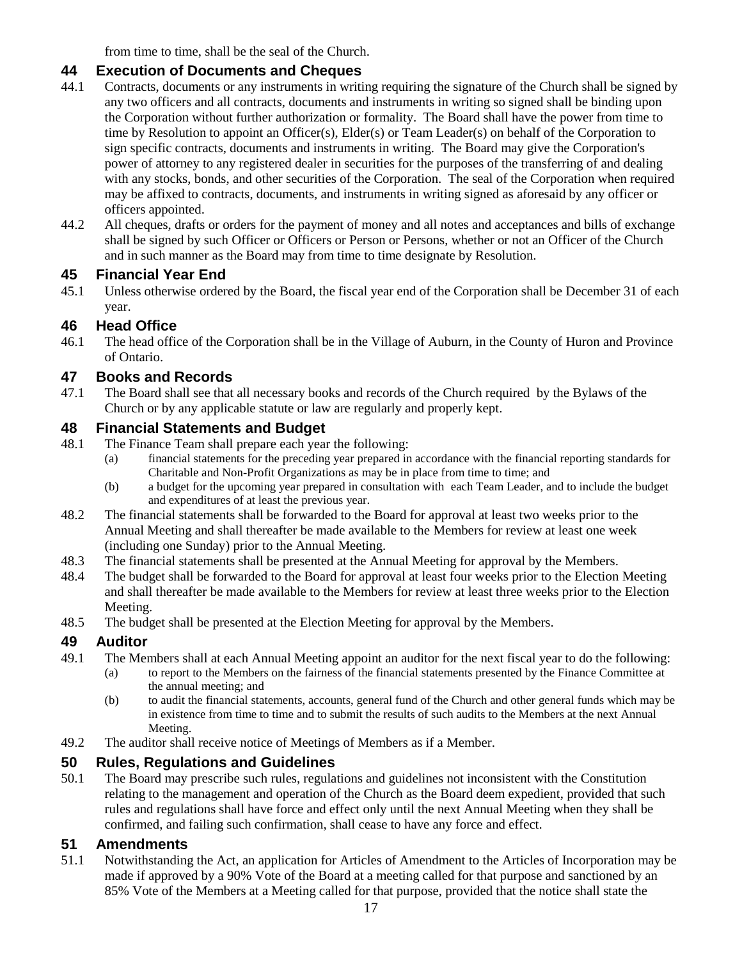from time to time, shall be the seal of the Church.

#### <span id="page-16-0"></span>**44 Execution of Documents and Cheques**

- 44.1 Contracts, documents or any instruments in writing requiring the signature of the Church shall be signed by any two officers and all contracts, documents and instruments in writing so signed shall be binding upon the Corporation without further authorization or formality. The Board shall have the power from time to time by Resolution to appoint an Officer(s), Elder(s) or Team Leader(s) on behalf of the Corporation to sign specific contracts, documents and instruments in writing. The Board may give the Corporation's power of attorney to any registered dealer in securities for the purposes of the transferring of and dealing with any stocks, bonds, and other securities of the Corporation. The seal of the Corporation when required may be affixed to contracts, documents, and instruments in writing signed as aforesaid by any officer or officers appointed.
- 44.2 All cheques, drafts or orders for the payment of money and all notes and acceptances and bills of exchange shall be signed by such Officer or Officers or Person or Persons, whether or not an Officer of the Church and in such manner as the Board may from time to time designate by Resolution.

#### <span id="page-16-1"></span>**45 Financial Year End**

45.1 Unless otherwise ordered by the Board, the fiscal year end of the Corporation shall be December 31 of each year.

#### <span id="page-16-2"></span>**46 Head Office**

46.1 The head office of the Corporation shall be in the Village of Auburn, in the County of Huron and Province of Ontario.

#### <span id="page-16-3"></span>**47 Books and Records**

47.1 The Board shall see that all necessary books and records of the Church required by the Bylaws of the Church or by any applicable statute or law are regularly and properly kept.

#### <span id="page-16-4"></span>**48 Financial Statements and Budget**

- 48.1 The Finance Team shall prepare each year the following:
	- (a) financial statements for the preceding year prepared in accordance with the financial reporting standards for Charitable and Non-Profit Organizations as may be in place from time to time; and
	- (b) a budget for the upcoming year prepared in consultation with each Team Leader, and to include the budget and expenditures of at least the previous year.
- 48.2 The financial statements shall be forwarded to the Board for approval at least two weeks prior to the Annual Meeting and shall thereafter be made available to the Members for review at least one week (including one Sunday) prior to the Annual Meeting.
- 48.3 The financial statements shall be presented at the Annual Meeting for approval by the Members.
- 48.4 The budget shall be forwarded to the Board for approval at least four weeks prior to the Election Meeting and shall thereafter be made available to the Members for review at least three weeks prior to the Election Meeting.
- 48.5 The budget shall be presented at the Election Meeting for approval by the Members.

#### <span id="page-16-5"></span>**49 Auditor**

- 49.1 The Members shall at each Annual Meeting appoint an auditor for the next fiscal year to do the following:
	- (a) to report to the Members on the fairness of the financial statements presented by the Finance Committee at the annual meeting; and
	- (b) to audit the financial statements, accounts, general fund of the Church and other general funds which may be in existence from time to time and to submit the results of such audits to the Members at the next Annual Meeting.
- 49.2 The auditor shall receive notice of Meetings of Members as if a Member.

#### <span id="page-16-6"></span>**50 Rules, Regulations and Guidelines**

50.1 The Board may prescribe such rules, regulations and guidelines not inconsistent with the Constitution relating to the management and operation of the Church as the Board deem expedient, provided that such rules and regulations shall have force and effect only until the next Annual Meeting when they shall be confirmed, and failing such confirmation, shall cease to have any force and effect.

#### <span id="page-16-7"></span>**51 Amendments**

51.1 Notwithstanding the Act, an application for Articles of Amendment to the Articles of Incorporation may be made if approved by a 90% Vote of the Board at a meeting called for that purpose and sanctioned by an 85% Vote of the Members at a Meeting called for that purpose, provided that the notice shall state the